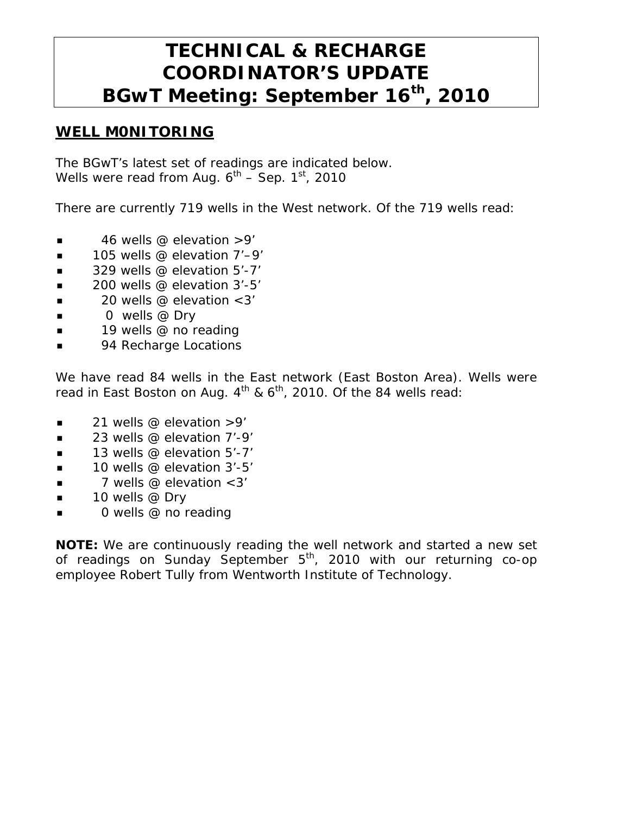# **TECHNICAL & RECHARGE COORDINATOR'S UPDATE BGwT Meeting: September 16th, 2010**

#### **WELL M0NITORING**

The BGwT's latest set of readings are indicated below. Wells were read from Aug.  $6^{\text{th}}$  – Sep. 1 $^{\text{st}}$ , 2010

There are currently 719 wells in the West network. Of the 719 wells read:

- $\blacksquare$  46 wells @ elevation >9'
- $\blacksquare$  105 wells @ elevation 7'-9'
- $\blacksquare$  329 wells @ elevation 5'-7'
- $\Box$  200 wells @ elevation 3'-5'
- $\blacksquare$  20 wells @ elevation < 3'
- $\Box$  0 wells @ Dry
- 19 wells @ no reading
- 94 Recharge Locations

We have read 84 wells in the East network (East Boston Area). Wells were read in East Boston on Aug.  $4^{th}$  &  $6^{th}$ , 2010. Of the 84 wells read:

- $\blacksquare$  21 wells @ elevation >9'
- $\blacksquare$  23 wells @ elevation 7'-9'
- 13 wells @ elevation 5'-7'
- $\blacksquare$  10 wells @ elevation 3'-5'
- 7 wells @ elevation <3'
- $\blacksquare$  10 wells @ Dry
- 0 wells @ no reading

**NOTE:** We are continuously reading the well network and started a new set of readings on Sunday September  $5<sup>th</sup>$ , 2010 with our returning co-op employee Robert Tully from Wentworth Institute of Technology.